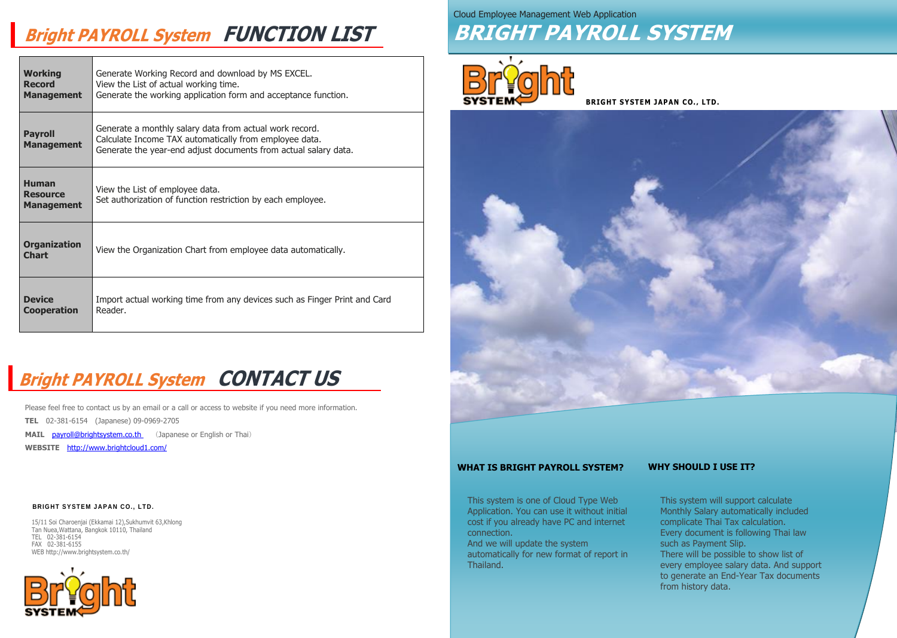| <b>Working</b><br><b>Record</b><br><b>Management</b> | Generate Working Record and download by MS EXCEL.<br>View the List of actual working time.<br>Generate the working application form and acceptance function.                         |
|------------------------------------------------------|--------------------------------------------------------------------------------------------------------------------------------------------------------------------------------------|
| <b>Payroll</b><br><b>Management</b>                  | Generate a monthly salary data from actual work record.<br>Calculate Income TAX automatically from employee data.<br>Generate the year-end adjust documents from actual salary data. |
| <b>Human</b><br><b>Resource</b><br><b>Management</b> | View the List of employee data.<br>Set authorization of function restriction by each employee.                                                                                       |
| <b>Organization</b><br><b>Chart</b>                  | View the Organization Chart from employee data automatically.                                                                                                                        |
| <b>Device</b><br><b>Cooperation</b>                  | Import actual working time from any devices such as Finger Print and Card<br>Reader.                                                                                                 |

15/11 Soi Charoenjai (Ekkamai 12),Sukhumvit 63,Khlong Tan Nuea,Wattana, Bangkok 10110, Thailand TEL 02-381-6154 FAX 02-381-6155 WEB http://www.brightsystem.co.th/



Please feel free to contact us by an email or a call or access to website if you need more information. **TEL** 02-381-6154 (Japanese) 09-0969-2705

**MAIL payroll@brightsystem.co.th** (Japanese or English or Thai)

**WEBSITE** <http://www.brightcloud1.com/>

#### **BRIGHT SYSTEM JAPAN CO., LTD.**

**BRIGHT SYSTEM JAPAN CO., LTD.**



# **Bright PAYROLL System FUNCTION LIST**

# **Bright PAYROLL System CONTACT US**

Cloud Employee Management Web Application





This system is one of Cloud Type Web Application. You can use it without initial cost if you already have PC and internet connection. And we will update the system automatically for new format of report in Thailand.



This system will support calculate Monthly Salary automatically included complicate Thai Tax calculation. Every document is following Thai law such as Payment Slip. There will be possible to show list of

every employee salary data. And support to generate an End-Year Tax documents from history data.

### **WHAT IS BRIGHT PAYROLL SYSTEM? WHY SHOULD I USE IT?**